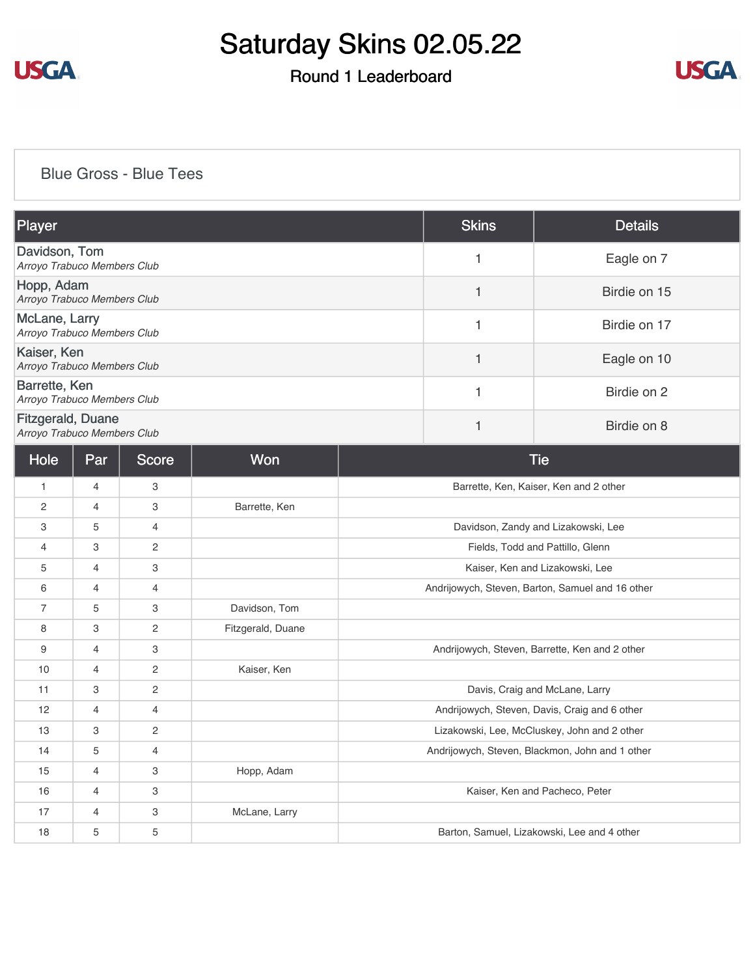

## Round 1 Leaderboard



#### [Blue Gross - Blue Tees](https://cdn2.golfgenius.com/v2tournaments/8187393173148950885?called_from=&round_index=1)

| Player                                                  | <b>Skins</b> | <b>Details</b> |
|---------------------------------------------------------|--------------|----------------|
| Davidson, Tom<br>Arroyo Trabuco Members Club            |              | Eagle on 7     |
| Hopp, Adam<br>Arroyo Trabuco Members Club               |              | Birdie on 15   |
| McLane, Larry<br>Arroyo Trabuco Members Club            |              | Birdie on 17   |
| Kaiser, Ken<br>Arroyo Trabuco Members Club              |              | Eagle on 10    |
| Barrette, Ken<br>Arroyo Trabuco Members Club            |              | Birdie on 2    |
| <b>Fitzgerald, Duane</b><br>Arroyo Trabuco Members Club |              | Birdie on 8    |

| Hole         | Par            | Score          | Won               | <b>Tie</b>                                       |
|--------------|----------------|----------------|-------------------|--------------------------------------------------|
| $\mathbf{1}$ | 4              | 3              |                   | Barrette, Ken, Kaiser, Ken and 2 other           |
| 2            | $\overline{4}$ | 3              | Barrette, Ken     |                                                  |
| 3            | 5              | 4              |                   | Davidson, Zandy and Lizakowski, Lee              |
| 4            | 3              | 2              |                   | Fields, Todd and Pattillo, Glenn                 |
| 5            | $\overline{4}$ | 3              |                   | Kaiser, Ken and Lizakowski, Lee                  |
| 6            | $\overline{4}$ | $\overline{4}$ |                   | Andrijowych, Steven, Barton, Samuel and 16 other |
| 7            | 5              | 3              | Davidson, Tom     |                                                  |
| 8            | 3              | 2              | Fitzgerald, Duane |                                                  |
| 9            | $\overline{4}$ | 3              |                   | Andrijowych, Steven, Barrette, Ken and 2 other   |
| 10           | 4              | 2              | Kaiser, Ken       |                                                  |
| 11           | 3              | 2              |                   | Davis, Craig and McLane, Larry                   |
| 12           | $\overline{4}$ | 4              |                   | Andrijowych, Steven, Davis, Craig and 6 other    |
| 13           | 3              | $\mathbf{2}$   |                   | Lizakowski, Lee, McCluskey, John and 2 other     |
| 14           | 5              | $\overline{4}$ |                   | Andrijowych, Steven, Blackmon, John and 1 other  |
| 15           | $\overline{4}$ | 3              | Hopp, Adam        |                                                  |
| 16           | $\overline{4}$ | 3              |                   | Kaiser, Ken and Pacheco, Peter                   |
| 17           | 4              | 3              | McLane, Larry     |                                                  |
| 18           | 5              | 5              |                   | Barton, Samuel, Lizakowski, Lee and 4 other      |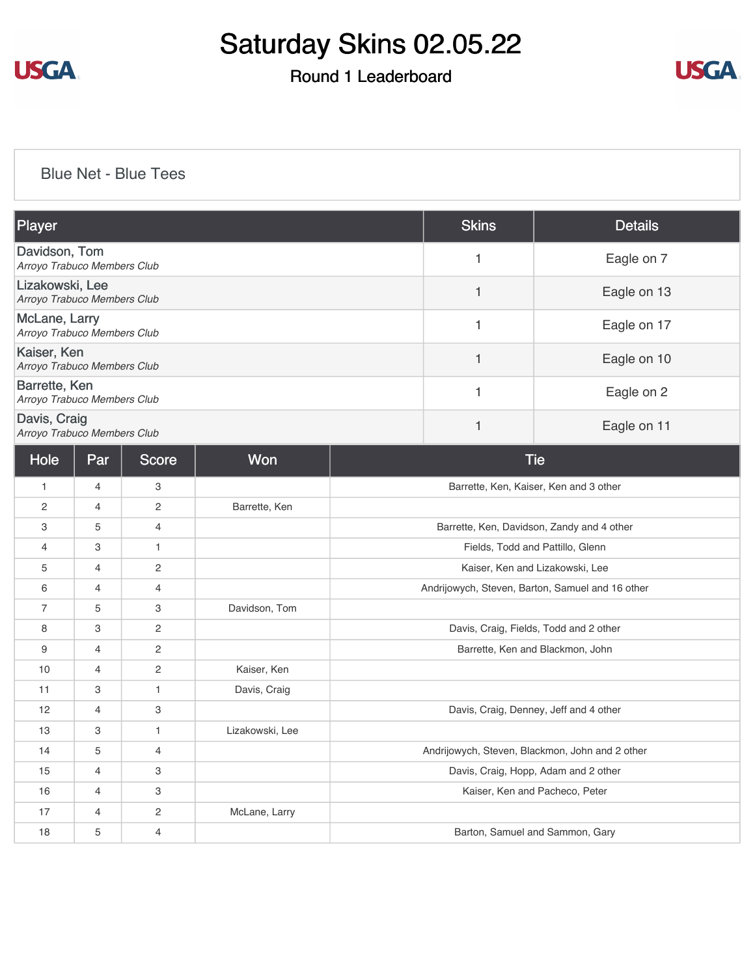

## Round 1 Leaderboard



### [Blue Net - Blue Tees](https://cdn2.golfgenius.com/v2tournaments/8187393700523958630?called_from=&round_index=1)

| <b>Player</b>                                       | <b>Skins</b> | <b>Details</b> |
|-----------------------------------------------------|--------------|----------------|
| Davidson, Tom<br>Arroyo Trabuco Members Club        |              | Eagle on 7     |
| Lizakowski, Lee<br>Arroyo Trabuco Members Club      |              | Eagle on 13    |
| <b>McLane, Larry</b><br>Arroyo Trabuco Members Club |              | Eagle on 17    |
| Kaiser, Ken<br>Arroyo Trabuco Members Club          |              | Eagle on 10    |
| Barrette, Ken<br>Arroyo Trabuco Members Club        |              | Eagle on 2     |
| Davis, Craig<br>Arroyo Trabuco Members Club         |              | Eagle on 11    |

| Hole           | Par            | <b>Score</b> | Won             | <b>Tie</b>                                       |
|----------------|----------------|--------------|-----------------|--------------------------------------------------|
| $\mathbf{1}$   | $\overline{4}$ | 3            |                 | Barrette, Ken, Kaiser, Ken and 3 other           |
| $\overline{2}$ | $\overline{4}$ | 2            | Barrette, Ken   |                                                  |
| 3              | 5              | 4            |                 | Barrette, Ken, Davidson, Zandy and 4 other       |
| $\overline{4}$ | 3              | 1            |                 | Fields, Todd and Pattillo, Glenn                 |
| 5              | $\overline{4}$ | $\mathbf{2}$ |                 | Kaiser, Ken and Lizakowski, Lee                  |
| 6              | $\overline{4}$ | 4            |                 | Andrijowych, Steven, Barton, Samuel and 16 other |
| $\overline{7}$ | 5              | 3            | Davidson, Tom   |                                                  |
| 8              | 3              | 2            |                 | Davis, Craig, Fields, Todd and 2 other           |
| 9              | 4              | $\mathbf{2}$ |                 | Barrette, Ken and Blackmon, John                 |
| 10             | $\overline{4}$ | 2            | Kaiser, Ken     |                                                  |
| 11             | 3              | $\mathbf{1}$ | Davis, Craig    |                                                  |
| 12             | $\overline{4}$ | 3            |                 | Davis, Craig, Denney, Jeff and 4 other           |
| 13             | 3              | $\mathbf{1}$ | Lizakowski, Lee |                                                  |
| 14             | 5              | 4            |                 | Andrijowych, Steven, Blackmon, John and 2 other  |
| 15             | $\overline{4}$ | 3            |                 | Davis, Craig, Hopp, Adam and 2 other             |
| 16             | $\overline{4}$ | 3            |                 | Kaiser, Ken and Pacheco, Peter                   |
| 17             | $\overline{4}$ | $\mathbf{2}$ | McLane, Larry   |                                                  |
| 18             | 5              | 4            |                 | Barton, Samuel and Sammon, Gary                  |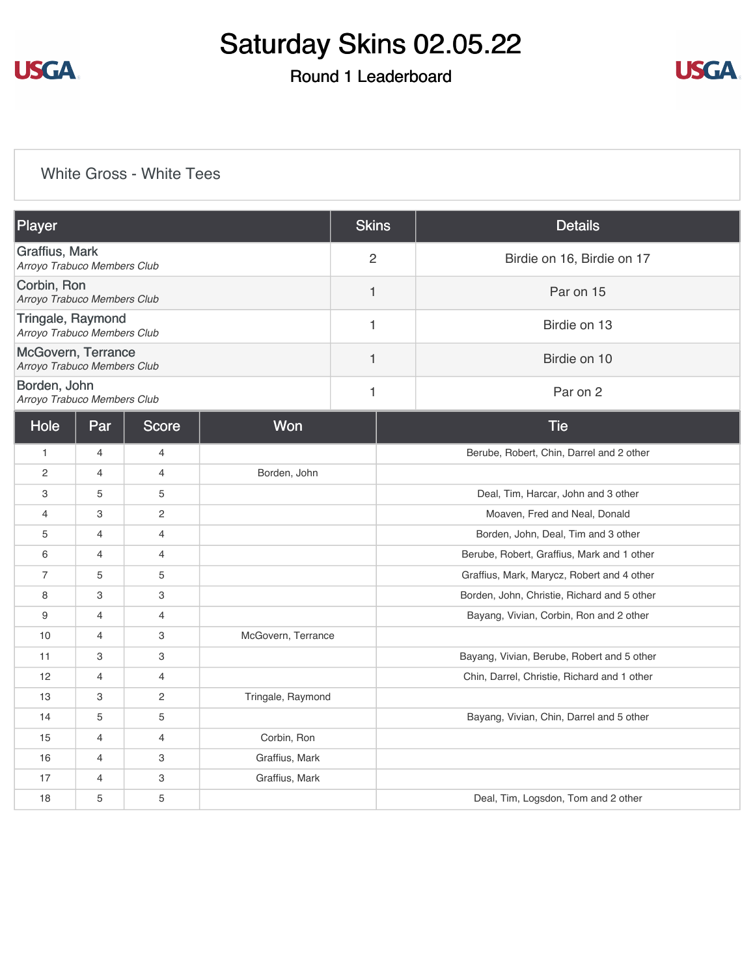

## Round 1 Leaderboard



### [White Gross - White Tees](https://cdn2.golfgenius.com/v2tournaments/8187394587099160935?called_from=&round_index=1)

| Player                                            |                                               |                | <b>Skins</b>       | <b>Details</b>             |                                             |
|---------------------------------------------------|-----------------------------------------------|----------------|--------------------|----------------------------|---------------------------------------------|
|                                                   | Graffius, Mark<br>Arroyo Trabuco Members Club |                | $\overline{2}$     | Birdie on 16, Birdie on 17 |                                             |
| Corbin, Ron<br>Arroyo Trabuco Members Club        |                                               | 1              | Par on 15          |                            |                                             |
| Tringale, Raymond<br>Arroyo Trabuco Members Club  |                                               |                |                    | $\mathbf{1}$               | Birdie on 13                                |
| McGovern, Terrance<br>Arroyo Trabuco Members Club |                                               |                |                    | 1                          | Birdie on 10                                |
| Borden, John<br>Arroyo Trabuco Members Club       |                                               |                |                    | 1                          | Par on 2                                    |
| Hole                                              | Par                                           | <b>Score</b>   | Won                |                            | <b>Tie</b>                                  |
| $\mathbf{1}$                                      | $\overline{4}$                                | $\overline{4}$ |                    |                            | Berube, Robert, Chin, Darrel and 2 other    |
| $\overline{2}$                                    | $\overline{4}$                                | $\overline{4}$ | Borden, John       |                            |                                             |
| 3                                                 | 5                                             | 5              |                    |                            | Deal, Tim, Harcar, John and 3 other         |
| $\overline{4}$                                    | 3                                             | 2              |                    |                            | Moaven, Fred and Neal, Donald               |
| 5                                                 | $\overline{4}$                                | $\overline{4}$ |                    |                            | Borden, John, Deal, Tim and 3 other         |
| 6                                                 | $\overline{4}$                                | $\overline{4}$ |                    |                            | Berube, Robert, Graffius, Mark and 1 other  |
| $\overline{7}$                                    | 5                                             | 5              |                    |                            | Graffius, Mark, Marycz, Robert and 4 other  |
| 8                                                 | 3                                             | 3              |                    |                            | Borden, John, Christie, Richard and 5 other |
| 9                                                 | $\overline{4}$                                | $\overline{4}$ |                    |                            | Bayang, Vivian, Corbin, Ron and 2 other     |
| 10                                                | 4                                             | 3              | McGovern, Terrance |                            |                                             |
| 11                                                | 3                                             | 3              |                    |                            | Bayang, Vivian, Berube, Robert and 5 other  |
| 12                                                | $\overline{4}$                                | $\overline{4}$ |                    |                            | Chin, Darrel, Christie, Richard and 1 other |
| 13                                                | 3                                             | $\overline{c}$ | Tringale, Raymond  |                            |                                             |
| 14                                                | 5                                             | 5              |                    |                            | Bayang, Vivian, Chin, Darrel and 5 other    |
| 15                                                | 4                                             | 4              | Corbin, Ron        |                            |                                             |
| 16                                                | 4                                             | 3              | Graffius, Mark     |                            |                                             |
| 17                                                | $\overline{4}$                                | 3              | Graffius, Mark     |                            |                                             |
| 18                                                | 5                                             | 5              |                    |                            | Deal, Tim, Logsdon, Tom and 2 other         |